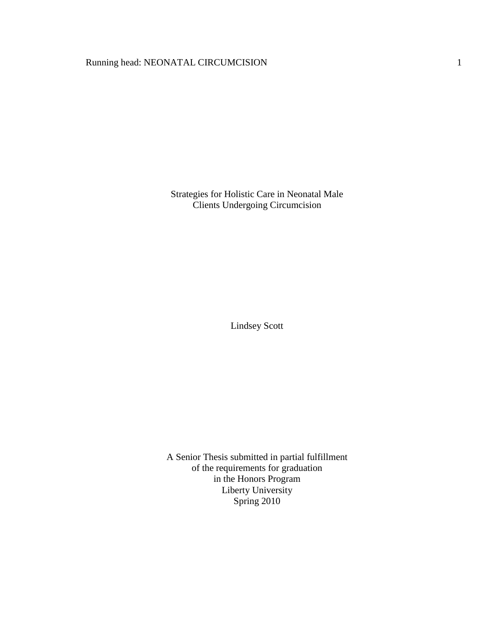# Running head: NEONATAL CIRCUMCISION 1

Strategies for Holistic Care in Neonatal Male Clients Undergoing Circumcision

Lindsey Scott

A Senior Thesis submitted in partial fulfillment of the requirements for graduation in the Honors Program Liberty University Spring 2010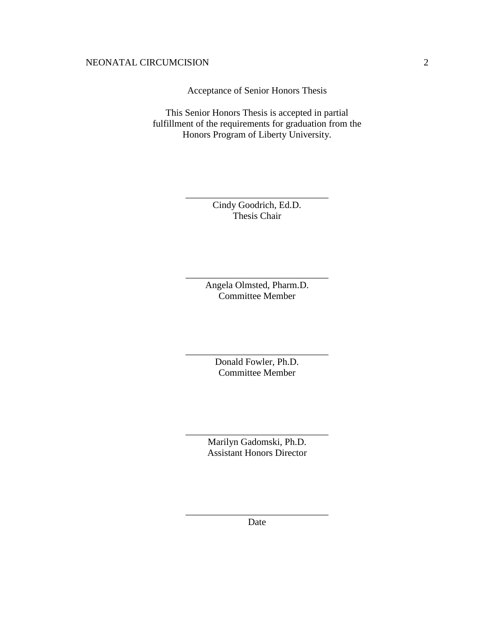Acceptance of Senior Honors Thesis

This Senior Honors Thesis is accepted in partial fulfillment of the requirements for graduation from the Honors Program of Liberty University.

> Cindy Goodrich, Ed.D. Thesis Chair

\_\_\_\_\_\_\_\_\_\_\_\_\_\_\_\_\_\_\_\_\_\_\_\_\_\_\_\_\_\_

Angela Olmsted, Pharm.D. Committee Member

\_\_\_\_\_\_\_\_\_\_\_\_\_\_\_\_\_\_\_\_\_\_\_\_\_\_\_\_\_\_

Donald Fowler, Ph.D. Committee Member

\_\_\_\_\_\_\_\_\_\_\_\_\_\_\_\_\_\_\_\_\_\_\_\_\_\_\_\_\_\_

Marilyn Gadomski, Ph.D. Assistant Honors Director

\_\_\_\_\_\_\_\_\_\_\_\_\_\_\_\_\_\_\_\_\_\_\_\_\_\_\_\_\_\_

\_\_\_\_\_\_\_\_\_\_\_\_\_\_\_\_\_\_\_\_\_\_\_\_\_\_\_\_\_\_ Date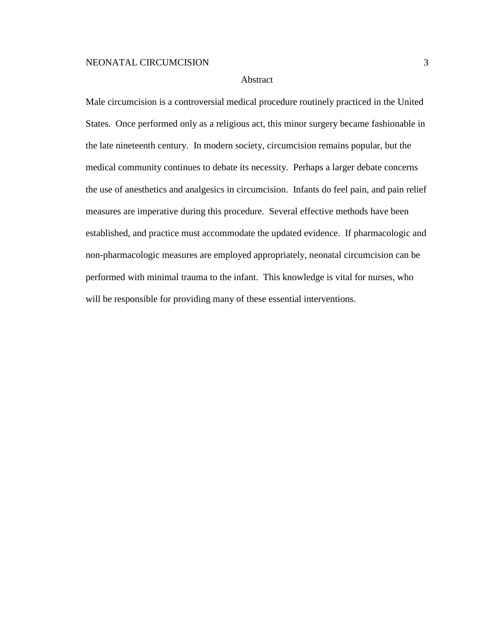### Abstract

Male circumcision is a controversial medical procedure routinely practiced in the United States. Once performed only as a religious act, this minor surgery became fashionable in the late nineteenth century. In modern society, circumcision remains popular, but the medical community continues to debate its necessity. Perhaps a larger debate concerns the use of anesthetics and analgesics in circumcision. Infants do feel pain, and pain relief measures are imperative during this procedure. Several effective methods have been established, and practice must accommodate the updated evidence. If pharmacologic and non-pharmacologic measures are employed appropriately, neonatal circumcision can be performed with minimal trauma to the infant. This knowledge is vital for nurses, who will be responsible for providing many of these essential interventions.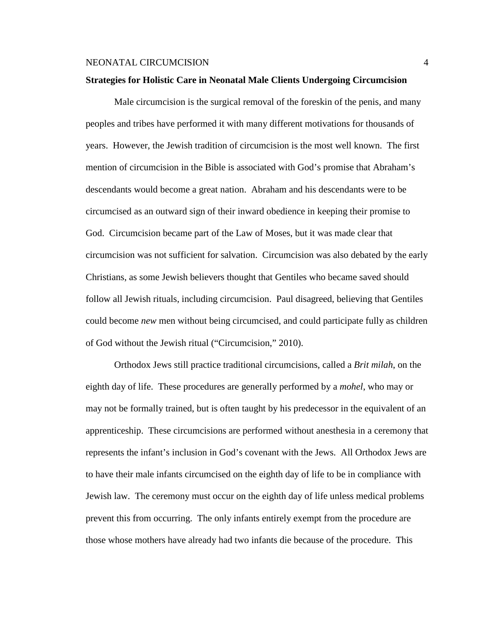### **Strategies for Holistic Care in Neonatal Male Clients Undergoing Circumcision**

Male circumcision is the surgical removal of the foreskin of the penis, and many peoples and tribes have performed it with many different motivations for thousands of years. However, the Jewish tradition of circumcision is the most well known. The first mention of circumcision in the Bible is associated with God's promise that Abraham's descendants would become a great nation. Abraham and his descendants were to be circumcised as an outward sign of their inward obedience in keeping their promise to God. Circumcision became part of the Law of Moses, but it was made clear that circumcision was not sufficient for salvation. Circumcision was also debated by the early Christians, as some Jewish believers thought that Gentiles who became saved should follow all Jewish rituals, including circumcision. Paul disagreed, believing that Gentiles could become *new* men without being circumcised, and could participate fully as children of God without the Jewish ritual ("Circumcision," 2010).

Orthodox Jews still practice traditional circumcisions, called a *Brit milah*, on the eighth day of life. These procedures are generally performed by a *mohel*, who may or may not be formally trained, but is often taught by his predecessor in the equivalent of an apprenticeship. These circumcisions are performed without anesthesia in a ceremony that represents the infant's inclusion in God's covenant with the Jews. All Orthodox Jews are to have their male infants circumcised on the eighth day of life to be in compliance with Jewish law. The ceremony must occur on the eighth day of life unless medical problems prevent this from occurring. The only infants entirely exempt from the procedure are those whose mothers have already had two infants die because of the procedure. This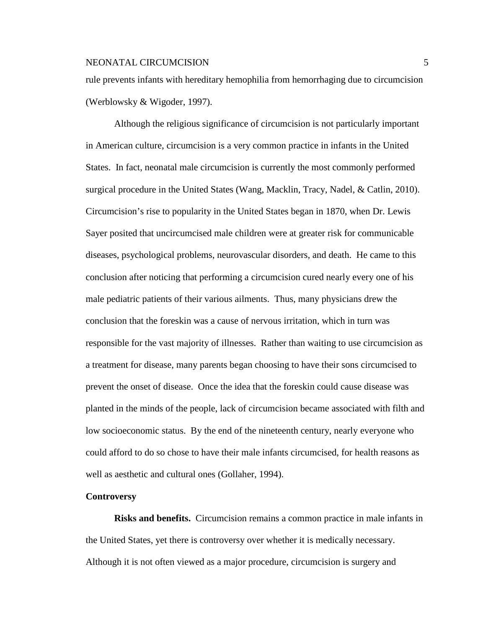rule prevents infants with hereditary hemophilia from hemorrhaging due to circumcision (Werblowsky & Wigoder, 1997).

Although the religious significance of circumcision is not particularly important in American culture, circumcision is a very common practice in infants in the United States. In fact, neonatal male circumcision is currently the most commonly performed surgical procedure in the United States (Wang, Macklin, Tracy, Nadel, & Catlin, 2010). Circumcision's rise to popularity in the United States began in 1870, when Dr. Lewis Sayer posited that uncircumcised male children were at greater risk for communicable diseases, psychological problems, neurovascular disorders, and death. He came to this conclusion after noticing that performing a circumcision cured nearly every one of his male pediatric patients of their various ailments. Thus, many physicians drew the conclusion that the foreskin was a cause of nervous irritation, which in turn was responsible for the vast majority of illnesses. Rather than waiting to use circumcision as a treatment for disease, many parents began choosing to have their sons circumcised to prevent the onset of disease. Once the idea that the foreskin could cause disease was planted in the minds of the people, lack of circumcision became associated with filth and low socioeconomic status. By the end of the nineteenth century, nearly everyone who could afford to do so chose to have their male infants circumcised, for health reasons as well as aesthetic and cultural ones (Gollaher, 1994).

#### **Controversy**

**Risks and benefits.** Circumcision remains a common practice in male infants in the United States, yet there is controversy over whether it is medically necessary. Although it is not often viewed as a major procedure, circumcision is surgery and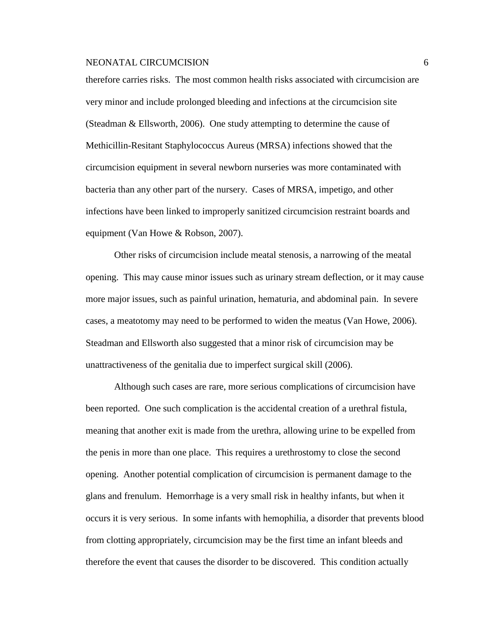therefore carries risks. The most common health risks associated with circumcision are very minor and include prolonged bleeding and infections at the circumcision site (Steadman & Ellsworth, 2006). One study attempting to determine the cause of Methicillin-Resitant Staphylococcus Aureus (MRSA) infections showed that the circumcision equipment in several newborn nurseries was more contaminated with bacteria than any other part of the nursery. Cases of MRSA, impetigo, and other infections have been linked to improperly sanitized circumcision restraint boards and equipment (Van Howe & Robson, 2007).

Other risks of circumcision include meatal stenosis, a narrowing of the meatal opening. This may cause minor issues such as urinary stream deflection, or it may cause more major issues, such as painful urination, hematuria, and abdominal pain. In severe cases, a meatotomy may need to be performed to widen the meatus (Van Howe, 2006). Steadman and Ellsworth also suggested that a minor risk of circumcision may be unattractiveness of the genitalia due to imperfect surgical skill (2006).

Although such cases are rare, more serious complications of circumcision have been reported. One such complication is the accidental creation of a urethral fistula, meaning that another exit is made from the urethra, allowing urine to be expelled from the penis in more than one place. This requires a urethrostomy to close the second opening. Another potential complication of circumcision is permanent damage to the glans and frenulum. Hemorrhage is a very small risk in healthy infants, but when it occurs it is very serious. In some infants with hemophilia, a disorder that prevents blood from clotting appropriately, circumcision may be the first time an infant bleeds and therefore the event that causes the disorder to be discovered. This condition actually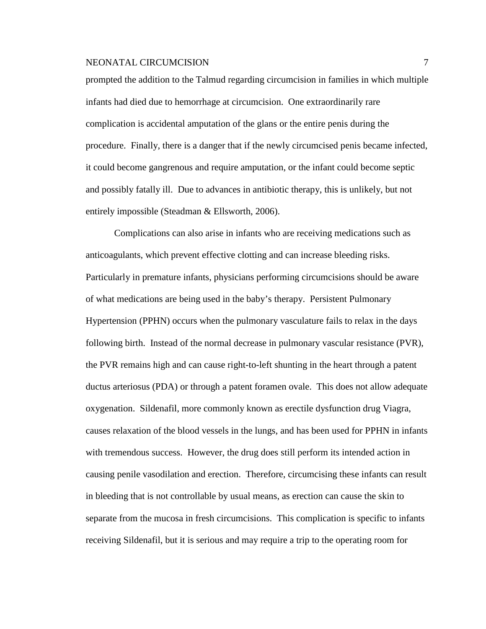prompted the addition to the Talmud regarding circumcision in families in which multiple infants had died due to hemorrhage at circumcision. One extraordinarily rare complication is accidental amputation of the glans or the entire penis during the procedure. Finally, there is a danger that if the newly circumcised penis became infected, it could become gangrenous and require amputation, or the infant could become septic and possibly fatally ill. Due to advances in antibiotic therapy, this is unlikely, but not entirely impossible (Steadman & Ellsworth, 2006).

Complications can also arise in infants who are receiving medications such as anticoagulants, which prevent effective clotting and can increase bleeding risks. Particularly in premature infants, physicians performing circumcisions should be aware of what medications are being used in the baby's therapy. Persistent Pulmonary Hypertension (PPHN) occurs when the pulmonary vasculature fails to relax in the days following birth. Instead of the normal decrease in pulmonary vascular resistance (PVR), the PVR remains high and can cause right-to-left shunting in the heart through a patent ductus arteriosus (PDA) or through a patent foramen ovale. This does not allow adequate oxygenation. Sildenafil, more commonly known as erectile dysfunction drug Viagra, causes relaxation of the blood vessels in the lungs, and has been used for PPHN in infants with tremendous success. However, the drug does still perform its intended action in causing penile vasodilation and erection. Therefore, circumcising these infants can result in bleeding that is not controllable by usual means, as erection can cause the skin to separate from the mucosa in fresh circumcisions. This complication is specific to infants receiving Sildenafil, but it is serious and may require a trip to the operating room for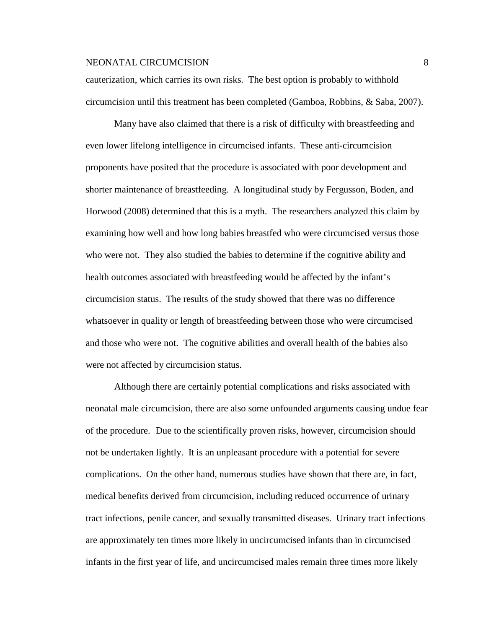cauterization, which carries its own risks. The best option is probably to withhold circumcision until this treatment has been completed (Gamboa, Robbins, & Saba, 2007).

Many have also claimed that there is a risk of difficulty with breastfeeding and even lower lifelong intelligence in circumcised infants. These anti-circumcision proponents have posited that the procedure is associated with poor development and shorter maintenance of breastfeeding. A longitudinal study by Fergusson, Boden, and Horwood (2008) determined that this is a myth. The researchers analyzed this claim by examining how well and how long babies breastfed who were circumcised versus those who were not. They also studied the babies to determine if the cognitive ability and health outcomes associated with breastfeeding would be affected by the infant's circumcision status. The results of the study showed that there was no difference whatsoever in quality or length of breastfeeding between those who were circumcised and those who were not. The cognitive abilities and overall health of the babies also were not affected by circumcision status.

Although there are certainly potential complications and risks associated with neonatal male circumcision, there are also some unfounded arguments causing undue fear of the procedure. Due to the scientifically proven risks, however, circumcision should not be undertaken lightly. It is an unpleasant procedure with a potential for severe complications. On the other hand, numerous studies have shown that there are, in fact, medical benefits derived from circumcision, including reduced occurrence of urinary tract infections, penile cancer, and sexually transmitted diseases. Urinary tract infections are approximately ten times more likely in uncircumcised infants than in circumcised infants in the first year of life, and uncircumcised males remain three times more likely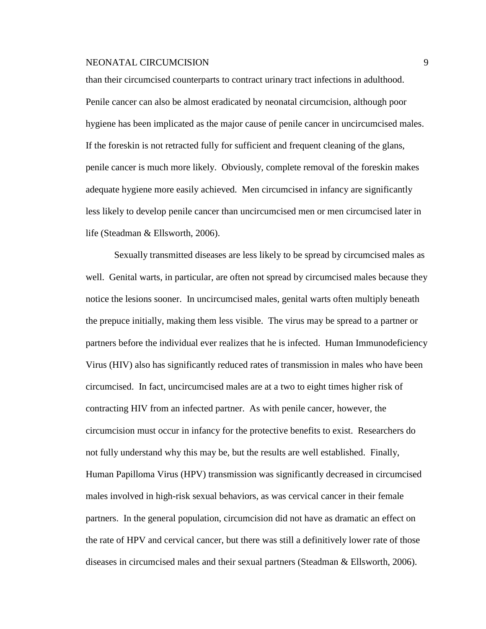than their circumcised counterparts to contract urinary tract infections in adulthood. Penile cancer can also be almost eradicated by neonatal circumcision, although poor hygiene has been implicated as the major cause of penile cancer in uncircumcised males. If the foreskin is not retracted fully for sufficient and frequent cleaning of the glans, penile cancer is much more likely. Obviously, complete removal of the foreskin makes adequate hygiene more easily achieved. Men circumcised in infancy are significantly less likely to develop penile cancer than uncircumcised men or men circumcised later in life (Steadman & Ellsworth, 2006).

Sexually transmitted diseases are less likely to be spread by circumcised males as well. Genital warts, in particular, are often not spread by circumcised males because they notice the lesions sooner. In uncircumcised males, genital warts often multiply beneath the prepuce initially, making them less visible. The virus may be spread to a partner or partners before the individual ever realizes that he is infected. Human Immunodeficiency Virus (HIV) also has significantly reduced rates of transmission in males who have been circumcised. In fact, uncircumcised males are at a two to eight times higher risk of contracting HIV from an infected partner. As with penile cancer, however, the circumcision must occur in infancy for the protective benefits to exist. Researchers do not fully understand why this may be, but the results are well established. Finally, Human Papilloma Virus (HPV) transmission was significantly decreased in circumcised males involved in high-risk sexual behaviors, as was cervical cancer in their female partners. In the general population, circumcision did not have as dramatic an effect on the rate of HPV and cervical cancer, but there was still a definitively lower rate of those diseases in circumcised males and their sexual partners (Steadman & Ellsworth, 2006).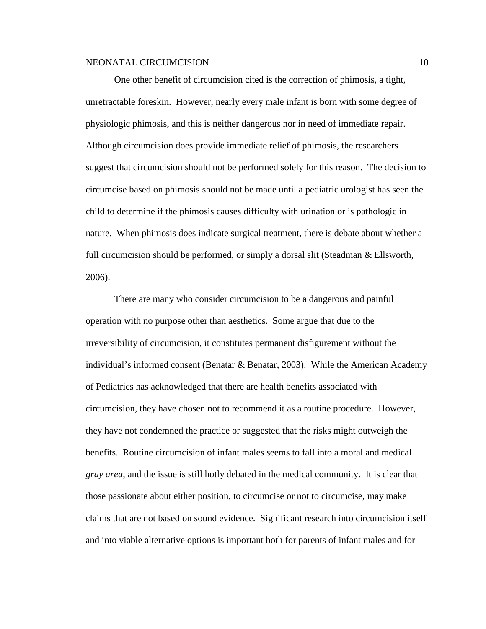One other benefit of circumcision cited is the correction of phimosis, a tight, unretractable foreskin. However, nearly every male infant is born with some degree of physiologic phimosis, and this is neither dangerous nor in need of immediate repair. Although circumcision does provide immediate relief of phimosis, the researchers suggest that circumcision should not be performed solely for this reason. The decision to circumcise based on phimosis should not be made until a pediatric urologist has seen the child to determine if the phimosis causes difficulty with urination or is pathologic in nature. When phimosis does indicate surgical treatment, there is debate about whether a full circumcision should be performed, or simply a dorsal slit (Steadman & Ellsworth, 2006).

There are many who consider circumcision to be a dangerous and painful operation with no purpose other than aesthetics. Some argue that due to the irreversibility of circumcision, it constitutes permanent disfigurement without the individual's informed consent (Benatar & Benatar, 2003). While the American Academy of Pediatrics has acknowledged that there are health benefits associated with circumcision, they have chosen not to recommend it as a routine procedure. However, they have not condemned the practice or suggested that the risks might outweigh the benefits. Routine circumcision of infant males seems to fall into a moral and medical *gray area*, and the issue is still hotly debated in the medical community. It is clear that those passionate about either position, to circumcise or not to circumcise, may make claims that are not based on sound evidence. Significant research into circumcision itself and into viable alternative options is important both for parents of infant males and for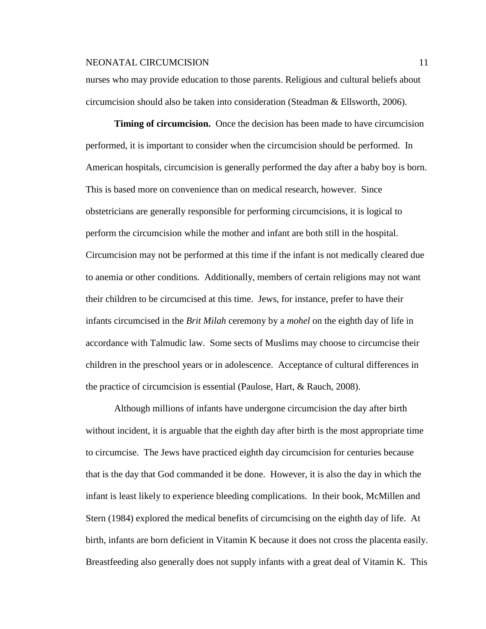nurses who may provide education to those parents. Religious and cultural beliefs about circumcision should also be taken into consideration (Steadman & Ellsworth, 2006).

**Timing of circumcision.** Once the decision has been made to have circumcision performed, it is important to consider when the circumcision should be performed. In American hospitals, circumcision is generally performed the day after a baby boy is born. This is based more on convenience than on medical research, however. Since obstetricians are generally responsible for performing circumcisions, it is logical to perform the circumcision while the mother and infant are both still in the hospital. Circumcision may not be performed at this time if the infant is not medically cleared due to anemia or other conditions. Additionally, members of certain religions may not want their children to be circumcised at this time. Jews, for instance, prefer to have their infants circumcised in the *Brit Milah* ceremony by a *mohel* on the eighth day of life in accordance with Talmudic law. Some sects of Muslims may choose to circumcise their children in the preschool years or in adolescence. Acceptance of cultural differences in the practice of circumcision is essential (Paulose, Hart, & Rauch, 2008).

Although millions of infants have undergone circumcision the day after birth without incident, it is arguable that the eighth day after birth is the most appropriate time to circumcise. The Jews have practiced eighth day circumcision for centuries because that is the day that God commanded it be done. However, it is also the day in which the infant is least likely to experience bleeding complications. In their book, McMillen and Stern (1984) explored the medical benefits of circumcising on the eighth day of life. At birth, infants are born deficient in Vitamin K because it does not cross the placenta easily. Breastfeeding also generally does not supply infants with a great deal of Vitamin K. This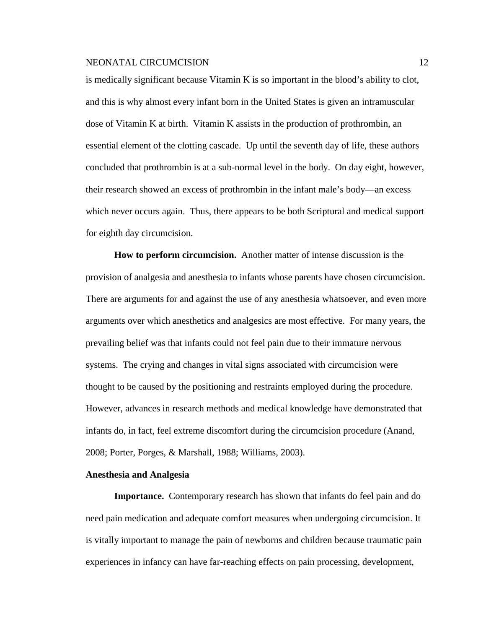is medically significant because Vitamin K is so important in the blood's ability to clot, and this is why almost every infant born in the United States is given an intramuscular dose of Vitamin K at birth. Vitamin K assists in the production of prothrombin, an essential element of the clotting cascade. Up until the seventh day of life, these authors concluded that prothrombin is at a sub-normal level in the body. On day eight, however, their research showed an excess of prothrombin in the infant male's body—an excess which never occurs again. Thus, there appears to be both Scriptural and medical support for eighth day circumcision.

**How to perform circumcision.** Another matter of intense discussion is the provision of analgesia and anesthesia to infants whose parents have chosen circumcision. There are arguments for and against the use of any anesthesia whatsoever, and even more arguments over which anesthetics and analgesics are most effective. For many years, the prevailing belief was that infants could not feel pain due to their immature nervous systems. The crying and changes in vital signs associated with circumcision were thought to be caused by the positioning and restraints employed during the procedure. However, advances in research methods and medical knowledge have demonstrated that infants do, in fact, feel extreme discomfort during the circumcision procedure (Anand, 2008; Porter, Porges, & Marshall, 1988; Williams, 2003).

### **Anesthesia and Analgesia**

**Importance.** Contemporary research has shown that infants do feel pain and do need pain medication and adequate comfort measures when undergoing circumcision. It is vitally important to manage the pain of newborns and children because traumatic pain experiences in infancy can have far-reaching effects on pain processing, development,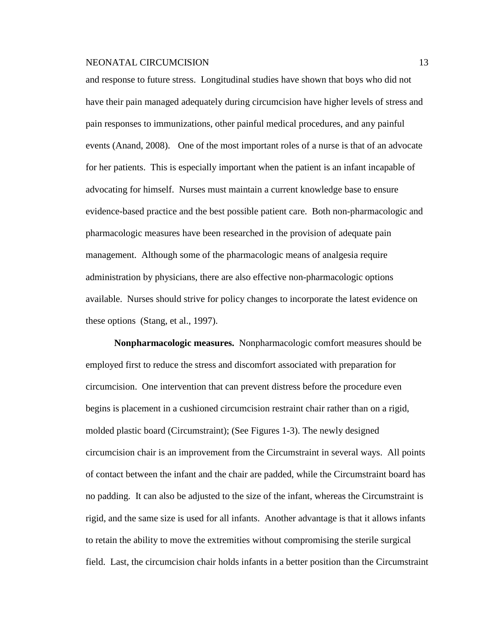and response to future stress. Longitudinal studies have shown that boys who did not have their pain managed adequately during circumcision have higher levels of stress and pain responses to immunizations, other painful medical procedures, and any painful events (Anand, 2008). One of the most important roles of a nurse is that of an advocate for her patients. This is especially important when the patient is an infant incapable of advocating for himself. Nurses must maintain a current knowledge base to ensure evidence-based practice and the best possible patient care. Both non-pharmacologic and pharmacologic measures have been researched in the provision of adequate pain management. Although some of the pharmacologic means of analgesia require administration by physicians, there are also effective non-pharmacologic options available. Nurses should strive for policy changes to incorporate the latest evidence on these options (Stang, et al., 1997).

**Nonpharmacologic measures.** Nonpharmacologic comfort measures should be employed first to reduce the stress and discomfort associated with preparation for circumcision. One intervention that can prevent distress before the procedure even begins is placement in a cushioned circumcision restraint chair rather than on a rigid, molded plastic board (Circumstraint); (See Figures 1-3). The newly designed circumcision chair is an improvement from the Circumstraint in several ways. All points of contact between the infant and the chair are padded, while the Circumstraint board has no padding. It can also be adjusted to the size of the infant, whereas the Circumstraint is rigid, and the same size is used for all infants. Another advantage is that it allows infants to retain the ability to move the extremities without compromising the sterile surgical field. Last, the circumcision chair holds infants in a better position than the Circumstraint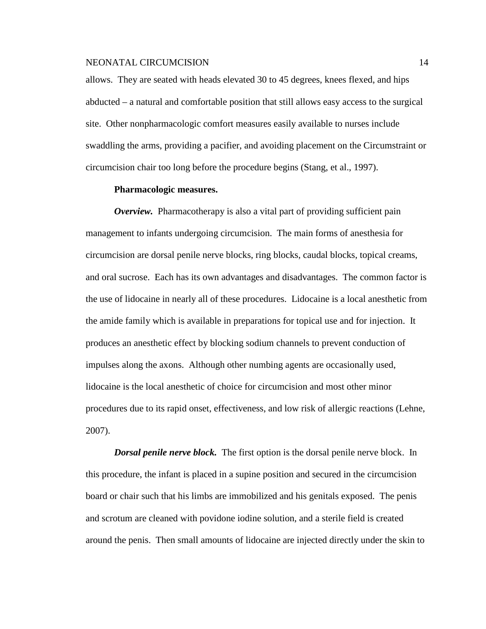allows. They are seated with heads elevated 30 to 45 degrees, knees flexed, and hips abducted – a natural and comfortable position that still allows easy access to the surgical site. Other nonpharmacologic comfort measures easily available to nurses include swaddling the arms, providing a pacifier, and avoiding placement on the Circumstraint or circumcision chair too long before the procedure begins (Stang, et al., 1997).

### **Pharmacologic measures.**

*Overview.* Pharmacotherapy is also a vital part of providing sufficient pain management to infants undergoing circumcision. The main forms of anesthesia for circumcision are dorsal penile nerve blocks, ring blocks, caudal blocks, topical creams, and oral sucrose. Each has its own advantages and disadvantages. The common factor is the use of lidocaine in nearly all of these procedures. Lidocaine is a local anesthetic from the amide family which is available in preparations for topical use and for injection. It produces an anesthetic effect by blocking sodium channels to prevent conduction of impulses along the axons. Although other numbing agents are occasionally used, lidocaine is the local anesthetic of choice for circumcision and most other minor procedures due to its rapid onset, effectiveness, and low risk of allergic reactions (Lehne, 2007).

*Dorsal penile nerve block.* The first option is the dorsal penile nerve block. In this procedure, the infant is placed in a supine position and secured in the circumcision board or chair such that his limbs are immobilized and his genitals exposed. The penis and scrotum are cleaned with povidone iodine solution, and a sterile field is created around the penis. Then small amounts of lidocaine are injected directly under the skin to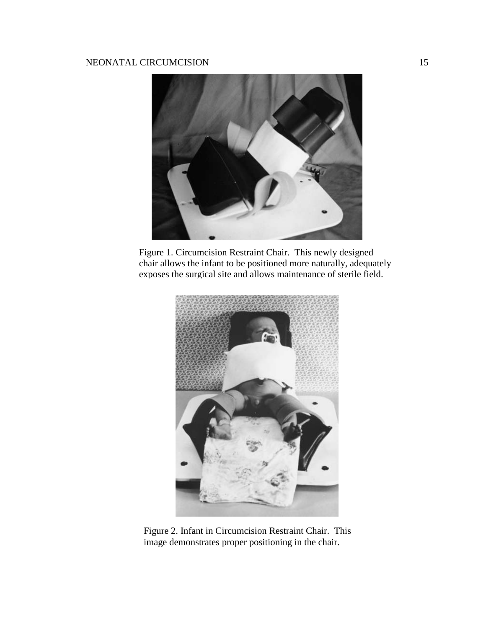

Figure 1. Circumcision Restraint Chair. This newly designed chair allows the infant to be positioned more naturally, adequately exposes the surgical site and allows maintenance of sterile field.



Figure 2. Infant in Circumcision Restraint Chair. This image demonstrates proper positioning in the chair.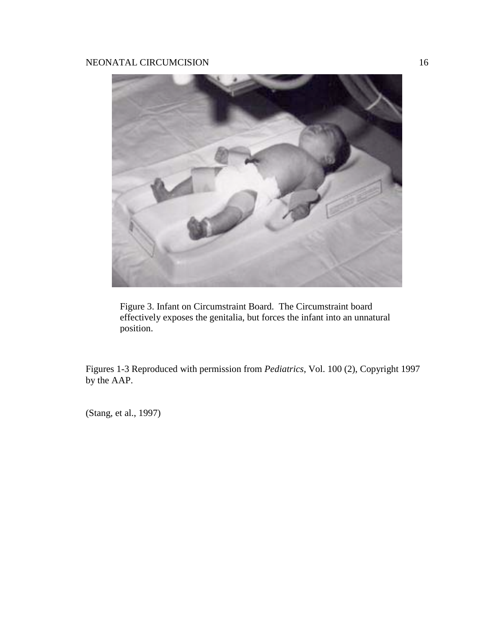

Figure 3. Infant on Circumstraint Board. The Circumstraint board effectively exposes the genitalia, but forces the infant into an unnatural position.

Figures 1-3 Reproduced with permission from *Pediatrics*, Vol. 100 (2), Copyright 1997 by the AAP.

(Stang, et al., 1997)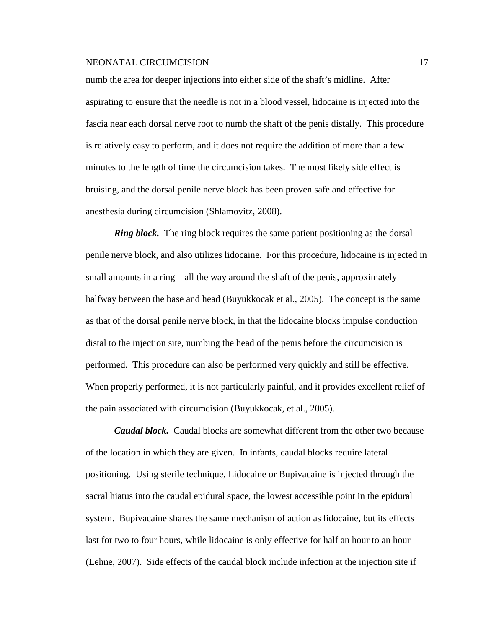numb the area for deeper injections into either side of the shaft's midline. After aspirating to ensure that the needle is not in a blood vessel, lidocaine is injected into the fascia near each dorsal nerve root to numb the shaft of the penis distally. This procedure is relatively easy to perform, and it does not require the addition of more than a few minutes to the length of time the circumcision takes. The most likely side effect is bruising, and the dorsal penile nerve block has been proven safe and effective for anesthesia during circumcision (Shlamovitz, 2008).

*Ring block.* The ring block requires the same patient positioning as the dorsal penile nerve block, and also utilizes lidocaine. For this procedure, lidocaine is injected in small amounts in a ring—all the way around the shaft of the penis, approximately halfway between the base and head (Buyukkocak et al., 2005). The concept is the same as that of the dorsal penile nerve block, in that the lidocaine blocks impulse conduction distal to the injection site, numbing the head of the penis before the circumcision is performed. This procedure can also be performed very quickly and still be effective. When properly performed, it is not particularly painful, and it provides excellent relief of the pain associated with circumcision (Buyukkocak, et al., 2005).

*Caudal block.* Caudal blocks are somewhat different from the other two because of the location in which they are given. In infants, caudal blocks require lateral positioning. Using sterile technique, Lidocaine or Bupivacaine is injected through the sacral hiatus into the caudal epidural space, the lowest accessible point in the epidural system. Bupivacaine shares the same mechanism of action as lidocaine, but its effects last for two to four hours, while lidocaine is only effective for half an hour to an hour (Lehne, 2007). Side effects of the caudal block include infection at the injection site if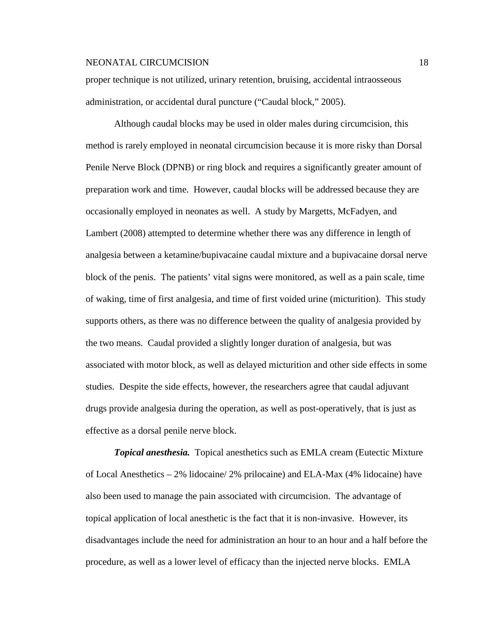proper technique is not utilized, urinary retention, bruising, accidental intraosseous administration, or accidental dural puncture ("Caudal block," 2005).

Although caudal blocks may be used in older males during circumcision, this method is rarely employed in neonatal circumcision because it is more risky than Dorsal Penile Nerve Block (DPNB) or ring block and requires a significantly greater amount of preparation work and time. However, caudal blocks will be addressed because they are occasionally employed in neonates as well. A study by Margetts, McFadyen, and Lambert (2008) attempted to determine whether there was any difference in length of analgesia between a ketamine/bupivacaine caudal mixture and a bupivacaine dorsal nerve block of the penis. The patients' vital signs were monitored, as well as a pain scale, time of waking, time of first analgesia, and time of first voided urine (micturition). This study supports others, as there was no difference between the quality of analgesia provided by the two means. Caudal provided a slightly longer duration of analgesia, but was associated with motor block, as well as delayed micturition and other side effects in some studies. Despite the side effects, however, the researchers agree that caudal adjuvant drugs provide analgesia during the operation, as well as post-operatively, that is just as effective as a dorsal penile nerve block.

*Topical anesthesia.* Topical anesthetics such as EMLA cream (Eutectic Mixture of Local Anesthetics – 2% lidocaine/ 2% prilocaine) and ELA-Max (4% lidocaine) have also been used to manage the pain associated with circumcision. The advantage of topical application of local anesthetic is the fact that it is non-invasive. However, its disadvantages include the need for administration an hour to an hour and a half before the procedure, as well as a lower level of efficacy than the injected nerve blocks. EMLA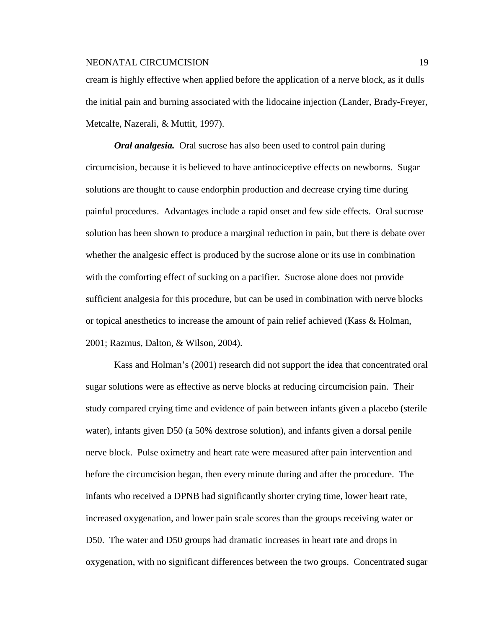cream is highly effective when applied before the application of a nerve block, as it dulls the initial pain and burning associated with the lidocaine injection (Lander, Brady-Freyer, Metcalfe, Nazerali, & Muttit, 1997).

*Oral analgesia.* Oral sucrose has also been used to control pain during circumcision, because it is believed to have antinociceptive effects on newborns. Sugar solutions are thought to cause endorphin production and decrease crying time during painful procedures. Advantages include a rapid onset and few side effects. Oral sucrose solution has been shown to produce a marginal reduction in pain, but there is debate over whether the analgesic effect is produced by the sucrose alone or its use in combination with the comforting effect of sucking on a pacifier. Sucrose alone does not provide sufficient analgesia for this procedure, but can be used in combination with nerve blocks or topical anesthetics to increase the amount of pain relief achieved (Kass & Holman, 2001; Razmus, Dalton, & Wilson, 2004).

Kass and Holman's (2001) research did not support the idea that concentrated oral sugar solutions were as effective as nerve blocks at reducing circumcision pain. Their study compared crying time and evidence of pain between infants given a placebo (sterile water), infants given D50 (a 50% dextrose solution), and infants given a dorsal penile nerve block. Pulse oximetry and heart rate were measured after pain intervention and before the circumcision began, then every minute during and after the procedure. The infants who received a DPNB had significantly shorter crying time, lower heart rate, increased oxygenation, and lower pain scale scores than the groups receiving water or D50. The water and D50 groups had dramatic increases in heart rate and drops in oxygenation, with no significant differences between the two groups. Concentrated sugar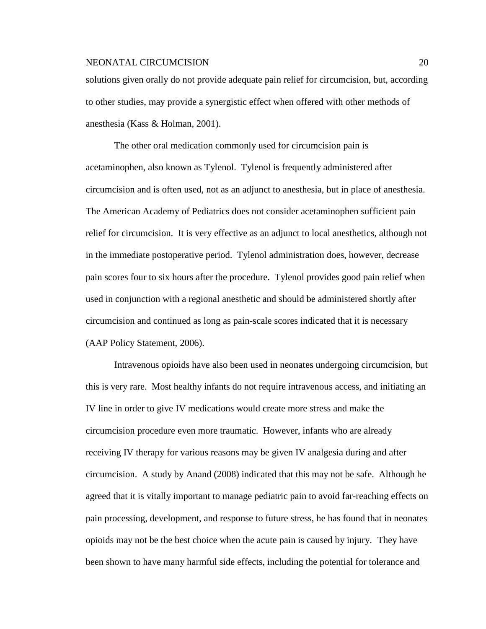solutions given orally do not provide adequate pain relief for circumcision, but, according to other studies, may provide a synergistic effect when offered with other methods of anesthesia (Kass & Holman, 2001).

The other oral medication commonly used for circumcision pain is acetaminophen, also known as Tylenol. Tylenol is frequently administered after circumcision and is often used, not as an adjunct to anesthesia, but in place of anesthesia. The American Academy of Pediatrics does not consider acetaminophen sufficient pain relief for circumcision. It is very effective as an adjunct to local anesthetics, although not in the immediate postoperative period. Tylenol administration does, however, decrease pain scores four to six hours after the procedure. Tylenol provides good pain relief when used in conjunction with a regional anesthetic and should be administered shortly after circumcision and continued as long as pain-scale scores indicated that it is necessary (AAP Policy Statement, 2006).

Intravenous opioids have also been used in neonates undergoing circumcision, but this is very rare. Most healthy infants do not require intravenous access, and initiating an IV line in order to give IV medications would create more stress and make the circumcision procedure even more traumatic. However, infants who are already receiving IV therapy for various reasons may be given IV analgesia during and after circumcision. A study by Anand (2008) indicated that this may not be safe. Although he agreed that it is vitally important to manage pediatric pain to avoid far-reaching effects on pain processing, development, and response to future stress, he has found that in neonates opioids may not be the best choice when the acute pain is caused by injury. They have been shown to have many harmful side effects, including the potential for tolerance and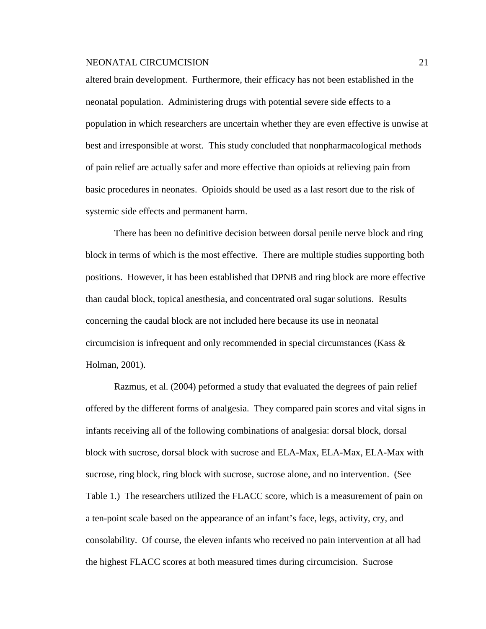altered brain development. Furthermore, their efficacy has not been established in the neonatal population. Administering drugs with potential severe side effects to a population in which researchers are uncertain whether they are even effective is unwise at best and irresponsible at worst. This study concluded that nonpharmacological methods of pain relief are actually safer and more effective than opioids at relieving pain from basic procedures in neonates. Opioids should be used as a last resort due to the risk of systemic side effects and permanent harm.

There has been no definitive decision between dorsal penile nerve block and ring block in terms of which is the most effective. There are multiple studies supporting both positions. However, it has been established that DPNB and ring block are more effective than caudal block, topical anesthesia, and concentrated oral sugar solutions. Results concerning the caudal block are not included here because its use in neonatal circumcision is infrequent and only recommended in special circumstances (Kass  $\&$ Holman, 2001).

Razmus, et al. (2004) peformed a study that evaluated the degrees of pain relief offered by the different forms of analgesia. They compared pain scores and vital signs in infants receiving all of the following combinations of analgesia: dorsal block, dorsal block with sucrose, dorsal block with sucrose and ELA-Max, ELA-Max, ELA-Max with sucrose, ring block, ring block with sucrose, sucrose alone, and no intervention. (See Table 1.) The researchers utilized the FLACC score, which is a measurement of pain on a ten-point scale based on the appearance of an infant's face, legs, activity, cry, and consolability. Of course, the eleven infants who received no pain intervention at all had the highest FLACC scores at both measured times during circumcision. Sucrose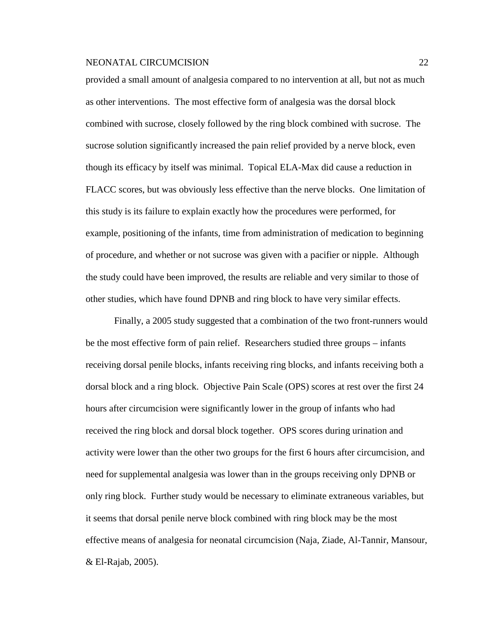provided a small amount of analgesia compared to no intervention at all, but not as much as other interventions. The most effective form of analgesia was the dorsal block combined with sucrose, closely followed by the ring block combined with sucrose. The sucrose solution significantly increased the pain relief provided by a nerve block, even though its efficacy by itself was minimal. Topical ELA-Max did cause a reduction in FLACC scores, but was obviously less effective than the nerve blocks. One limitation of this study is its failure to explain exactly how the procedures were performed, for example, positioning of the infants, time from administration of medication to beginning of procedure, and whether or not sucrose was given with a pacifier or nipple. Although the study could have been improved, the results are reliable and very similar to those of other studies, which have found DPNB and ring block to have very similar effects.

Finally, a 2005 study suggested that a combination of the two front-runners would be the most effective form of pain relief. Researchers studied three groups – infants receiving dorsal penile blocks, infants receiving ring blocks, and infants receiving both a dorsal block and a ring block. Objective Pain Scale (OPS) scores at rest over the first 24 hours after circumcision were significantly lower in the group of infants who had received the ring block and dorsal block together. OPS scores during urination and activity were lower than the other two groups for the first 6 hours after circumcision, and need for supplemental analgesia was lower than in the groups receiving only DPNB or only ring block. Further study would be necessary to eliminate extraneous variables, but it seems that dorsal penile nerve block combined with ring block may be the most effective means of analgesia for neonatal circumcision (Naja, Ziade, Al-Tannir, Mansour, & El-Rajab, 2005).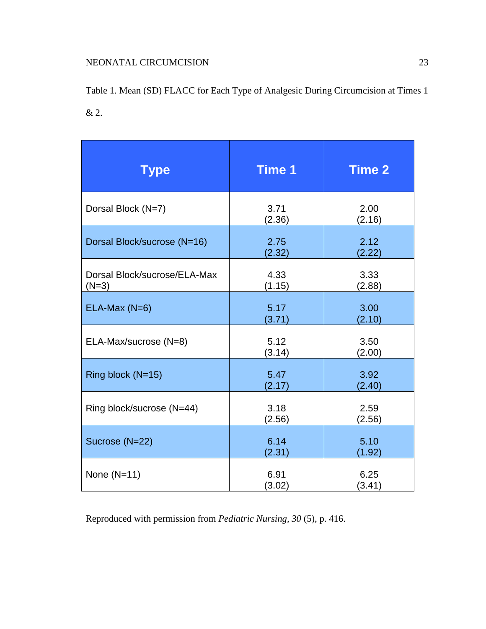Table 1. Mean (SD) FLACC for Each Type of Analgesic During Circumcision at Times 1 & 2.

| <b>Type</b>                             | <b>Time 1</b>  | <b>Time 2</b>  |
|-----------------------------------------|----------------|----------------|
| Dorsal Block (N=7)                      | 3.71<br>(2.36) | 2.00<br>(2.16) |
| Dorsal Block/sucrose (N=16)             | 2.75<br>(2.32) | 2.12<br>(2.22) |
| Dorsal Block/sucrose/ELA-Max<br>$(N=3)$ | 4.33<br>(1.15) | 3.33<br>(2.88) |
| $ELA-Max(N=6)$                          | 5.17<br>(3.71) | 3.00<br>(2.10) |
| ELA-Max/sucrose (N=8)                   | 5.12<br>(3.14) | 3.50<br>(2.00) |
| Ring block (N=15)                       | 5.47<br>(2.17) | 3.92<br>(2.40) |
| Ring block/sucrose (N=44)               | 3.18<br>(2.56) | 2.59<br>(2.56) |
| Sucrose (N=22)                          | 6.14<br>(2.31) | 5.10<br>(1.92) |
| None $(N=11)$                           | 6.91<br>(3.02) | 6.25<br>(3.41) |

Reproduced with permission from *Pediatric Nursing, 30* (5), p. 416.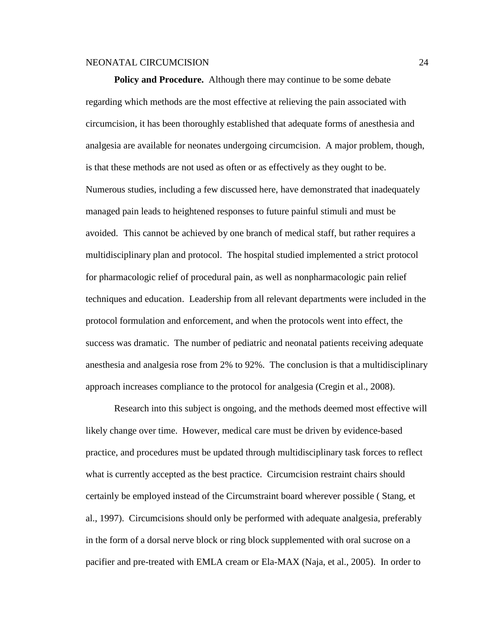**Policy and Procedure.** Although there may continue to be some debate regarding which methods are the most effective at relieving the pain associated with circumcision, it has been thoroughly established that adequate forms of anesthesia and analgesia are available for neonates undergoing circumcision. A major problem, though, is that these methods are not used as often or as effectively as they ought to be. Numerous studies, including a few discussed here, have demonstrated that inadequately managed pain leads to heightened responses to future painful stimuli and must be avoided. This cannot be achieved by one branch of medical staff, but rather requires a multidisciplinary plan and protocol. The hospital studied implemented a strict protocol for pharmacologic relief of procedural pain, as well as nonpharmacologic pain relief techniques and education. Leadership from all relevant departments were included in the protocol formulation and enforcement, and when the protocols went into effect, the success was dramatic. The number of pediatric and neonatal patients receiving adequate anesthesia and analgesia rose from 2% to 92%. The conclusion is that a multidisciplinary approach increases compliance to the protocol for analgesia (Cregin et al., 2008).

Research into this subject is ongoing, and the methods deemed most effective will likely change over time. However, medical care must be driven by evidence-based practice, and procedures must be updated through multidisciplinary task forces to reflect what is currently accepted as the best practice. Circumcision restraint chairs should certainly be employed instead of the Circumstraint board wherever possible ( Stang, et al., 1997). Circumcisions should only be performed with adequate analgesia, preferably in the form of a dorsal nerve block or ring block supplemented with oral sucrose on a pacifier and pre-treated with EMLA cream or Ela-MAX (Naja, et al., 2005). In order to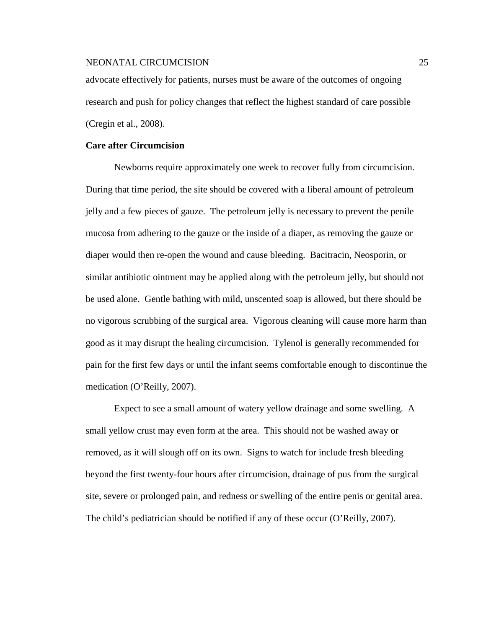advocate effectively for patients, nurses must be aware of the outcomes of ongoing research and push for policy changes that reflect the highest standard of care possible (Cregin et al., 2008).

### **Care after Circumcision**

Newborns require approximately one week to recover fully from circumcision. During that time period, the site should be covered with a liberal amount of petroleum jelly and a few pieces of gauze. The petroleum jelly is necessary to prevent the penile mucosa from adhering to the gauze or the inside of a diaper, as removing the gauze or diaper would then re-open the wound and cause bleeding. Bacitracin, Neosporin, or similar antibiotic ointment may be applied along with the petroleum jelly, but should not be used alone. Gentle bathing with mild, unscented soap is allowed, but there should be no vigorous scrubbing of the surgical area. Vigorous cleaning will cause more harm than good as it may disrupt the healing circumcision. Tylenol is generally recommended for pain for the first few days or until the infant seems comfortable enough to discontinue the medication (O'Reilly, 2007).

Expect to see a small amount of watery yellow drainage and some swelling. A small yellow crust may even form at the area. This should not be washed away or removed, as it will slough off on its own. Signs to watch for include fresh bleeding beyond the first twenty-four hours after circumcision, drainage of pus from the surgical site, severe or prolonged pain, and redness or swelling of the entire penis or genital area. The child's pediatrician should be notified if any of these occur (O'Reilly, 2007).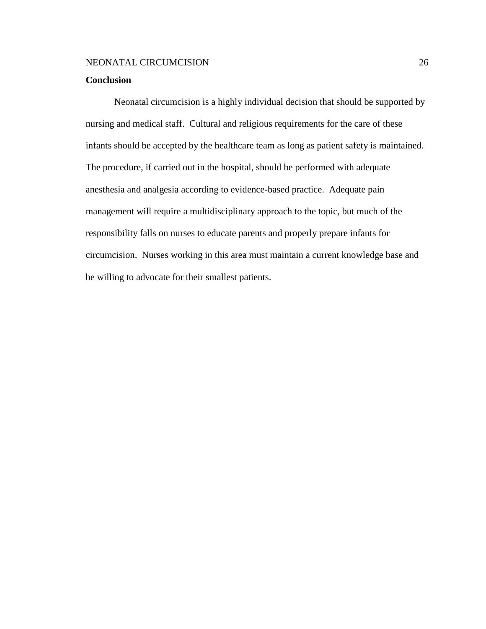### **Conclusion**

Neonatal circumcision is a highly individual decision that should be supported by nursing and medical staff. Cultural and religious requirements for the care of these infants should be accepted by the healthcare team as long as patient safety is maintained. The procedure, if carried out in the hospital, should be performed with adequate anesthesia and analgesia according to evidence-based practice. Adequate pain management will require a multidisciplinary approach to the topic, but much of the responsibility falls on nurses to educate parents and properly prepare infants for circumcision. Nurses working in this area must maintain a current knowledge base and be willing to advocate for their smallest patients.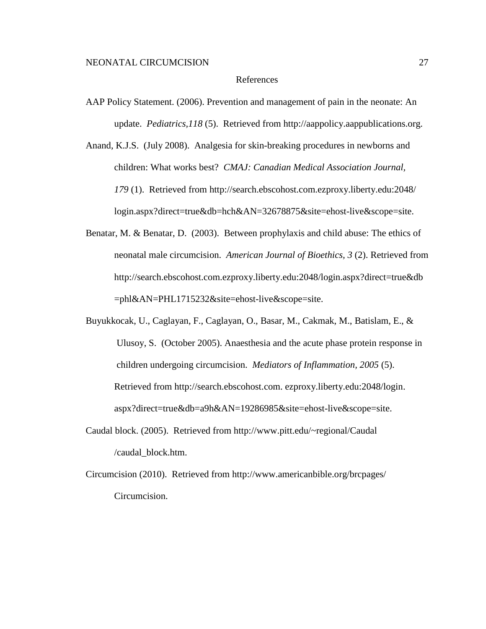### References

- AAP Policy Statement. (2006). Prevention and management of pain in the neonate: An update. *Pediatrics,118* (5). Retrieved from http://aappolicy.aappublications.org.
- Anand, K.J.S. (July 2008). Analgesia for skin-breaking procedures in newborns and children: What works best? *CMAJ: Canadian Medical Association Journal, 179* (1). Retrieved from http://search.ebscohost.com.ezproxy.liberty.edu:2048/ login.aspx?direct=true&db=hch&AN=32678875&site=ehost-live&scope=site.
- Benatar, M. & Benatar, D. (2003). Between prophylaxis and child abuse: The ethics of neonatal male circumcision. *American Journal of Bioethics, 3* (2). Retrieved from http://search.ebscohost.com.ezproxy.liberty.edu:2048/login.aspx?direct=true&db =phl&AN=PHL1715232&site=ehost-live&scope=site.
- Buyukkocak, U., Caglayan, F., Caglayan, O., Basar, M., Cakmak, M., Batislam, E., & Ulusoy, S. (October 2005). Anaesthesia and the acute phase protein response in children undergoing circumcision. *Mediators of Inflammation, 2005* (5). Retrieved from http://search.ebscohost.com. ezproxy.liberty.edu:2048/login. aspx?direct=true&db=a9h&AN=19286985&site=ehost-live&scope=site.
- Caudal block. (2005). Retrieved from http://www.pitt.edu/~regional/Caudal /caudal\_block.htm.
- Circumcision (2010). Retrieved from http://www.americanbible.org/brcpages/ Circumcision.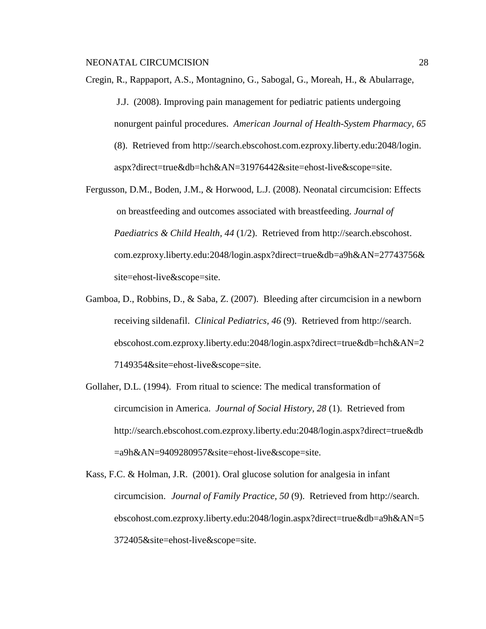- Cregin, R., Rappaport, A.S., Montagnino, G., Sabogal, G., Moreah, H., & Abularrage, J.J. (2008). Improving pain management for pediatric patients undergoing nonurgent painful procedures. *American Journal of Health-System Pharmacy, 65* (8). Retrieved from http://search.ebscohost.com.ezproxy.liberty.edu:2048/login. aspx?direct=true&db=hch&AN=31976442&site=ehost-live&scope=site.
- Fergusson, D.M., Boden, J.M., & Horwood, L.J. (2008). Neonatal circumcision: Effects on breastfeeding and outcomes associated with breastfeeding. *Journal of Paediatrics & Child Health, 44* (1/2). Retrieved from http://search.ebscohost. com.ezproxy.liberty.edu:2048/login.aspx?direct=true&db=a9h&AN=27743756& site=ehost-live&scope=site.
- Gamboa, D., Robbins, D., & Saba, Z. (2007). Bleeding after circumcision in a newborn receiving sildenafil. *Clinical Pediatrics, 46* (9). Retrieved from http://search. ebscohost.com.ezproxy.liberty.edu:2048/login.aspx?direct=true&db=hch&AN=2 7149354&site=ehost-live&scope=site.
- Gollaher, D.L. (1994). From ritual to science: The medical transformation of circumcision in America. *Journal of Social History, 28* (1). Retrieved from http://search.ebscohost.com.ezproxy.liberty.edu:2048/login.aspx?direct=true&db =a9h&AN=9409280957&site=ehost-live&scope=site.
- Kass, F.C. & Holman, J.R. (2001). Oral glucose solution for analgesia in infant circumcision. *Journal of Family Practice, 50* (9). Retrieved from http://search. ebscohost.com.ezproxy.liberty.edu:2048/login.aspx?direct=true&db=a9h&AN=5 372405&site=ehost-live&scope=site.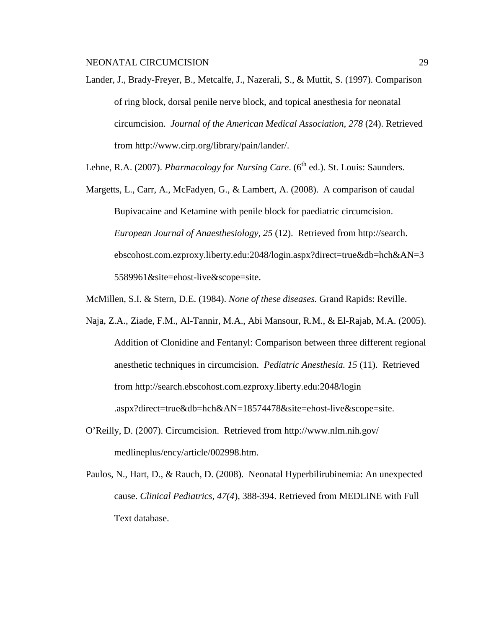- Lander, J., Brady-Freyer, B., Metcalfe, J., Nazerali, S., & Muttit, S. (1997). Comparison of ring block, dorsal penile nerve block, and topical anesthesia for neonatal circumcision. *Journal of the American Medical Association, 278* (24). Retrieved from http://www.cirp.org/library/pain/lander/.
- Lehne, R.A. (2007). *Pharmacology for Nursing Care.* (6<sup>th</sup> ed.). St. Louis: Saunders.
- Margetts, L., Carr, A., McFadyen, G., & Lambert, A. (2008). A comparison of caudal Bupivacaine and Ketamine with penile block for paediatric circumcision. *European Journal of Anaesthesiology, 25* (12). Retrieved from http://search. ebscohost.com.ezproxy.liberty.edu:2048/login.aspx?direct=true&db=hch&AN=3 5589961&site=ehost-live&scope=site.
- McMillen, S.I. & Stern, D.E. (1984). *None of these diseases.* Grand Rapids: Reville.
- Naja, Z.A., Ziade, F.M., Al-Tannir, M.A., Abi Mansour, R.M., & El-Rajab, M.A. (2005). Addition of Clonidine and Fentanyl: Comparison between three different regional anesthetic techniques in circumcision. *Pediatric Anesthesia. 15* (11). Retrieved from http://search.ebscohost.com.ezproxy.liberty.edu:2048/login .aspx?direct=true&db=hch&AN=18574478&site=ehost-live&scope=site.
- O'Reilly, D. (2007). Circumcision. Retrieved from http://www.nlm.nih.gov/ medlineplus/ency/article/002998.htm.
- Paulos, N., Hart, D., & Rauch, D. (2008). Neonatal Hyperbilirubinemia: An unexpected cause. *Clinical Pediatrics, 47(4*), 388-394. Retrieved from MEDLINE with Full Text database.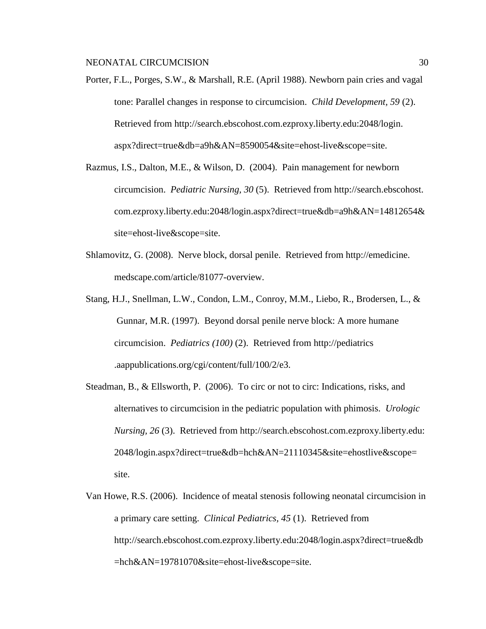Porter, F.L., Porges, S.W., & Marshall, R.E. (April 1988). Newborn pain cries and vagal tone: Parallel changes in response to circumcision. *Child Development, 59* (2). Retrieved from http://search.ebscohost.com.ezproxy.liberty.edu:2048/login. aspx?direct=true&db=a9h&AN=8590054&site=ehost-live&scope=site.

- Razmus, I.S., Dalton, M.E., & Wilson, D. (2004). Pain management for newborn circumcision. *Pediatric Nursing, 30* (5). Retrieved from http://search.ebscohost. com.ezproxy.liberty.edu:2048/login.aspx?direct=true&db=a9h&AN=14812654& site=ehost-live&scope=site.
- Shlamovitz, G. (2008). Nerve block, dorsal penile. Retrieved from http://emedicine. medscape.com/article/81077-overview.
- Stang, H.J., Snellman, L.W., Condon, L.M., Conroy, M.M., Liebo, R., Brodersen, L., & Gunnar, M.R. (1997). Beyond dorsal penile nerve block: A more humane circumcision. *Pediatrics (100)* (2). Retrieved from http://pediatrics .aappublications.org/cgi/content/full/100/2/e3.
- Steadman, B., & Ellsworth, P. (2006). To circ or not to circ: Indications, risks, and alternatives to circumcision in the pediatric population with phimosis. *Urologic Nursing, 26* (3). Retrieved from http://search.ebscohost.com.ezproxy.liberty.edu: 2048/login.aspx?direct=true&db=hch&AN=21110345&site=ehostlive&scope= site.
- Van Howe, R.S. (2006). Incidence of meatal stenosis following neonatal circumcision in a primary care setting. *Clinical Pediatrics, 45* (1). Retrieved from http://search.ebscohost.com.ezproxy.liberty.edu:2048/login.aspx?direct=true&db =hch&AN=19781070&site=ehost-live&scope=site.